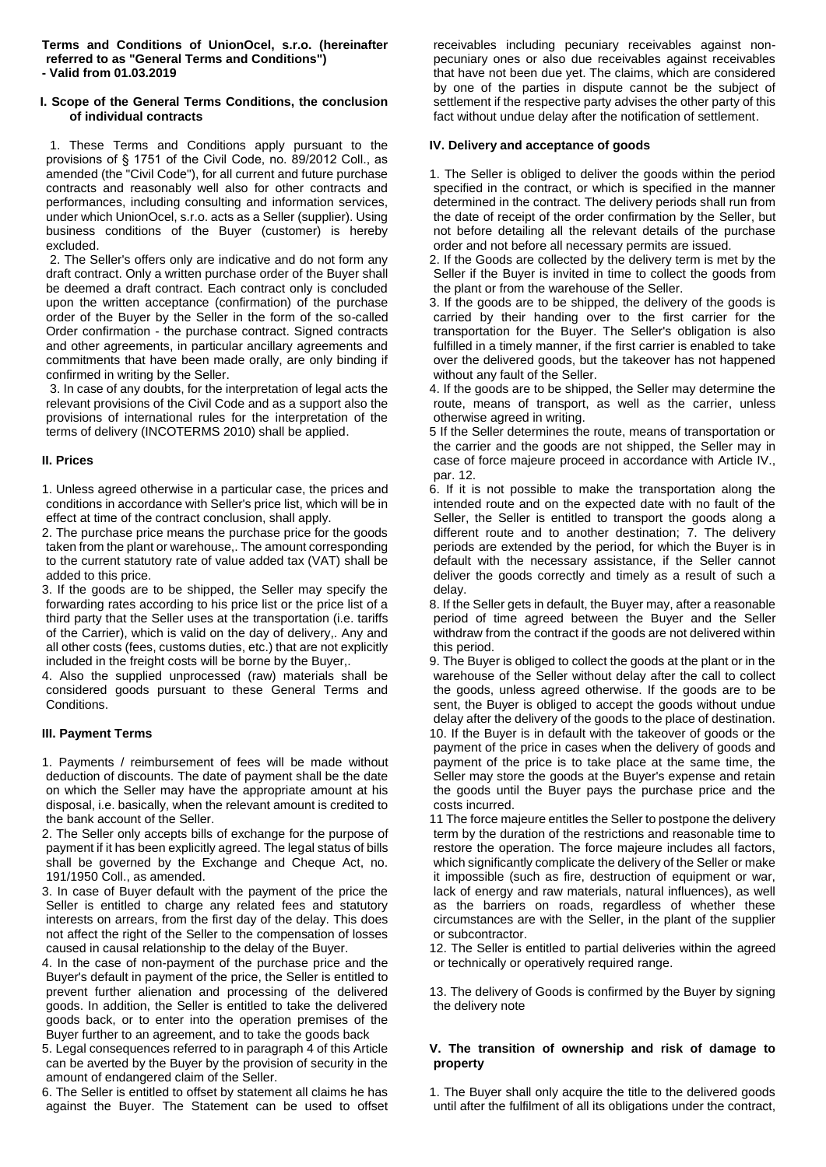#### **Terms and Conditions of UnionOcel, s.r.o. (hereinafter referred to as "General Terms and Conditions") - Valid from 01.03.2019**

#### **I. Scope of the General Terms Conditions, the conclusion of individual contracts**

1. These Terms and Conditions apply pursuant to the provisions of § 1751 of the Civil Code, no. 89/2012 Coll., as amended (the "Civil Code"), for all current and future purchase contracts and reasonably well also for other contracts and performances, including consulting and information services, under which UnionOcel, s.r.o. acts as a Seller (supplier). Using business conditions of the Buyer (customer) is hereby excluded.

2. The Seller's offers only are indicative and do not form any draft contract. Only a written purchase order of the Buyer shall be deemed a draft contract. Each contract only is concluded upon the written acceptance (confirmation) of the purchase order of the Buyer by the Seller in the form of the so-called Order confirmation - the purchase contract. Signed contracts and other agreements, in particular ancillary agreements and commitments that have been made orally, are only binding if confirmed in writing by the Seller.

3. In case of any doubts, for the interpretation of legal acts the relevant provisions of the Civil Code and as a support also the provisions of international rules for the interpretation of the terms of delivery (INCOTERMS 2010) shall be applied.

## **II. Prices**

1. Unless agreed otherwise in a particular case, the prices and conditions in accordance with Seller's price list, which will be in effect at time of the contract conclusion, shall apply.

2. The purchase price means the purchase price for the goods taken from the plant or warehouse,. The amount corresponding to the current statutory rate of value added tax (VAT) shall be added to this price.

3. If the goods are to be shipped, the Seller may specify the forwarding rates according to his price list or the price list of a third party that the Seller uses at the transportation (i.e. tariffs of the Carrier), which is valid on the day of delivery,. Any and all other costs (fees, customs duties, etc.) that are not explicitly included in the freight costs will be borne by the Buyer,.

4. Also the supplied unprocessed (raw) materials shall be considered goods pursuant to these General Terms and Conditions.

## **III. Payment Terms**

1. Payments / reimbursement of fees will be made without deduction of discounts. The date of payment shall be the date on which the Seller may have the appropriate amount at his disposal, i.e. basically, when the relevant amount is credited to the bank account of the Seller.

2. The Seller only accepts bills of exchange for the purpose of payment if it has been explicitly agreed. The legal status of bills shall be governed by the Exchange and Cheque Act, no. 191/1950 Coll., as amended.

3. In case of Buyer default with the payment of the price the Seller is entitled to charge any related fees and statutory interests on arrears, from the first day of the delay. This does not affect the right of the Seller to the compensation of losses caused in causal relationship to the delay of the Buyer.

4. In the case of non-payment of the purchase price and the Buyer's default in payment of the price, the Seller is entitled to prevent further alienation and processing of the delivered goods. In addition, the Seller is entitled to take the delivered goods back, or to enter into the operation premises of the Buyer further to an agreement, and to take the goods back

5. Legal consequences referred to in paragraph 4 of this Article can be averted by the Buyer by the provision of security in the amount of endangered claim of the Seller.

6. The Seller is entitled to offset by statement all claims he has against the Buyer. The Statement can be used to offset

receivables including pecuniary receivables against nonpecuniary ones or also due receivables against receivables that have not been due yet. The claims, which are considered by one of the parties in dispute cannot be the subject of settlement if the respective party advises the other party of this fact without undue delay after the notification of settlement.

#### **IV. Delivery and acceptance of goods**

1. The Seller is obliged to deliver the goods within the period specified in the contract, or which is specified in the manner determined in the contract. The delivery periods shall run from the date of receipt of the order confirmation by the Seller, but not before detailing all the relevant details of the purchase order and not before all necessary permits are issued.

2. If the Goods are collected by the delivery term is met by the Seller if the Buyer is invited in time to collect the goods from the plant or from the warehouse of the Seller.

3. If the goods are to be shipped, the delivery of the goods is carried by their handing over to the first carrier for the transportation for the Buyer. The Seller's obligation is also fulfilled in a timely manner, if the first carrier is enabled to take over the delivered goods, but the takeover has not happened without any fault of the Seller.

4. If the goods are to be shipped, the Seller may determine the route, means of transport, as well as the carrier, unless otherwise agreed in writing.

5 If the Seller determines the route, means of transportation or the carrier and the goods are not shipped, the Seller may in case of force majeure proceed in accordance with Article IV., par. 12.

6. If it is not possible to make the transportation along the intended route and on the expected date with no fault of the Seller, the Seller is entitled to transport the goods along a different route and to another destination; 7. The delivery periods are extended by the period, for which the Buyer is in default with the necessary assistance, if the Seller cannot deliver the goods correctly and timely as a result of such a delay.

8. If the Seller gets in default, the Buyer may, after a reasonable period of time agreed between the Buyer and the Seller withdraw from the contract if the goods are not delivered within this period.

9. The Buyer is obliged to collect the goods at the plant or in the warehouse of the Seller without delay after the call to collect the goods, unless agreed otherwise. If the goods are to be sent, the Buyer is obliged to accept the goods without undue delay after the delivery of the goods to the place of destination. 10. If the Buyer is in default with the takeover of goods or the payment of the price in cases when the delivery of goods and payment of the price is to take place at the same time, the Seller may store the goods at the Buyer's expense and retain the goods until the Buyer pays the purchase price and the costs incurred.

11 The force majeure entitles the Seller to postpone the delivery term by the duration of the restrictions and reasonable time to restore the operation. The force majeure includes all factors, which significantly complicate the delivery of the Seller or make it impossible (such as fire, destruction of equipment or war, lack of energy and raw materials, natural influences), as well as the barriers on roads, regardless of whether these circumstances are with the Seller, in the plant of the supplier or subcontractor.

12. The Seller is entitled to partial deliveries within the agreed or technically or operatively required range.

13. The delivery of Goods is confirmed by the Buyer by signing the delivery note

#### **V. The transition of ownership and risk of damage to property**

1. The Buyer shall only acquire the title to the delivered goods until after the fulfilment of all its obligations under the contract,